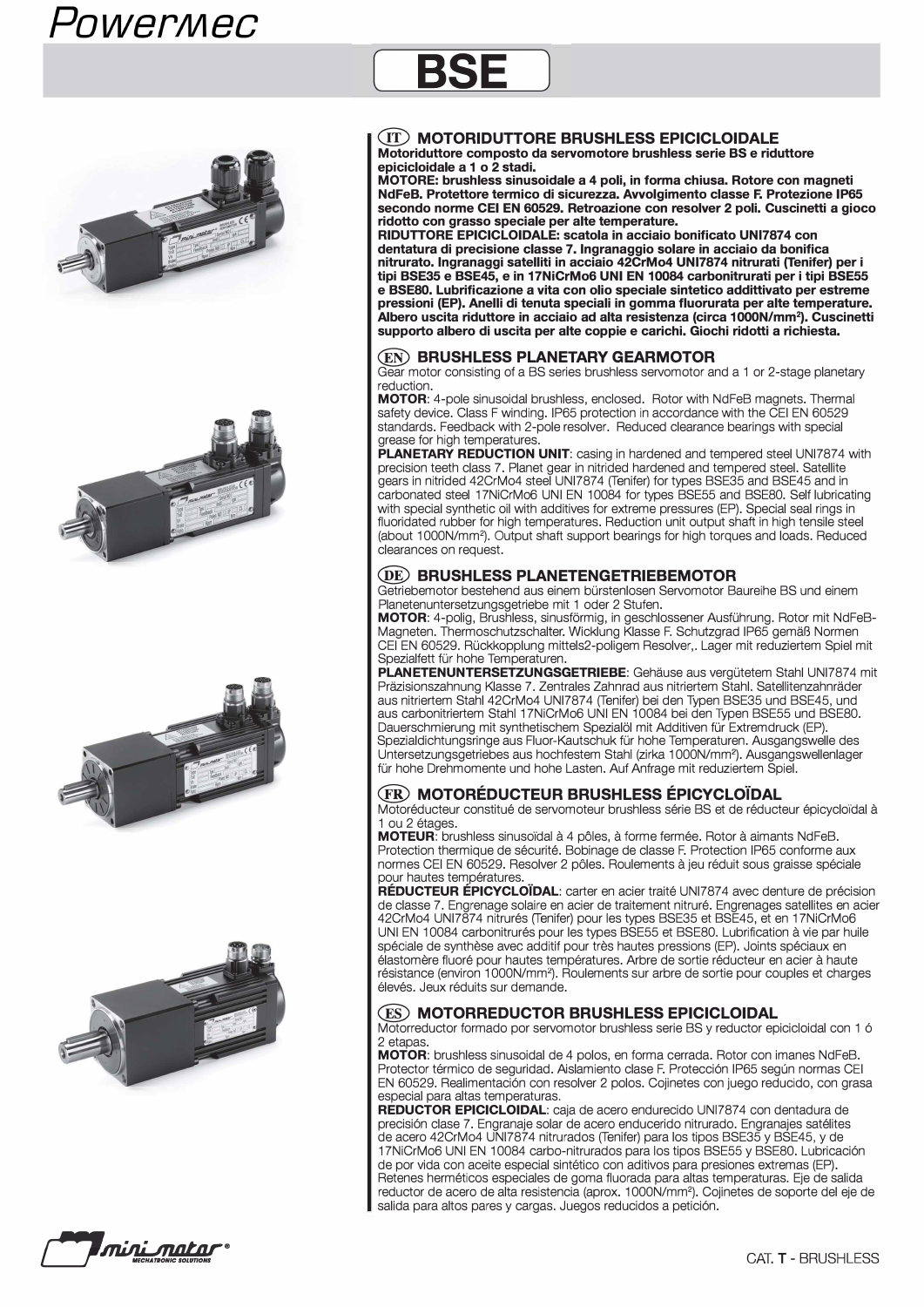# *Powermec*









# **@ MOTORIDUTTORE BRUSHLESS EPICICLOIDALE**

**BSE** 

**Motoriduttore eomposto da servomotore brushless serie BS e riduttore epieieloidale a 1 o 2 stadi.** 

**MOTORE: brushless sinusoidale a 4 poli, in forma ehiusa. Rotore eon magneti NdFeB. Protettore termieo di sieurezza. Awolgimento elasse F. Protezione IP65 seeondo norme CEI EN 60529. Retroazione eon resolver 2 poli. Cuseinetti a gioeo ridotto eon grasso speeiale per alte temperature.** 

**RIDUTTORE EPICICLOIDALE: seatola in aeeiaio bonifieato UNl7874 eon dentatura di preeisione elasse 7. lngranaggio solare in aeeiaio da bonifiea nitrurato. lngranaggi satelliti in aeeiaio 42CrMo4 UNl7874 nitrurati (Tenifer) per i tipi BSE35 e BSE45, e in 17NiCrMo6 UNI EN 10084 earbonitrurati per i tipi BSE55 e BSE80. Lubrifieazione a vita eon olio speeiale sintetieo addittivato per estreme pressioni (EP). Anelli di tenuta speeiali in gomma fluorurata per alte temperature. Albero useita riduttore in aeeiaio ad alta resistenza (eirea 1000N/mm2). Cuseinetti supporto albero di useita per alte eoppie e eariehi. Gioehi ridotti a riehiesta.** 

### **@ BRUSHLESS PLANETARY GEARMOTOR**

Gear motor consisting of a BS series brushless servomotor and a 1 or 2-stage planetary reduction.

**MOTOR:** 4-pole sinusoidal brushless, enclosed. Rotor with NdFeB magnets. Thermal safety device. Glass F winding. IP65 protection in accordance with the CEI EN 60529 standards. Feedback with 2-pole resolver. Reduced clearance bearings with special grease for high temperatures

**PLANETARY REDUCTION UNIT:** casing in hardened and tempered steel UNI7874 with precision teeth class 7. Planet gear in nitrided hardened and tempered steel. Satellite gears in nitrided 42CrMo4 steel UNI7874 (Tenifer) for types BSE35 and BSE45 and in carbonated steel 17NiCrMo6 UNI EN 10084 for types BSE55 and BSE80. Self lubricating with special synthetic oil with additives for extreme pressures (EP). Special seal rings in fluoridated rubber for high temperatures. Reduction unit output shaft in high tensile steel (about 1 000N/mm<sup>2</sup> ). Output shaft support bearings for high torques and loads. Reduced clearances on request.

## **@ BRUSHLESS PLANETENGETRIEBEMOTOR**

Getriebemotor bestehend aus einem bürstenlosen Servomotor Baureihe BS und einem Planetenuntersetzungsgetriebe mit 1 oder 2 Stuten.

**MOTOR:** 4-polig, Brushless, sinusförmig, in geschlossener Ausfuhrung. Rotor mit NdFeB-Magneten. Thermoschutzschalter. Wicklung Klasse F. Schutzgrad IP65 gemäB Normen CEI EN 60529. Ruckkopplung mittels2-poligem Resolver,. Lager mit reduziertem Spiel mit Spezialfett fur hohe Temperaturen.

PLANETENUNTERSETZUNGSGETRIEBE: Gehäuse aus vergütetem Stahl UNI7874 mit Präzisionszahnung Klasse 7. Zentrales Zahnrad aus nitriertem Stahl. Satellitenzahnräder aus nitriertem Stahl 42CrMo4 UNl7874 (Tenifer) bei den Typen BSE35 und BSE45, und aus carbonitriertem Stahl 17NiCrMo6 UNI EN 10084 bei den Typen BSE55 und BSE80. Dauerschmierung mit synthetischem Spezialöl mit Additiven fur Extremdruck (EP). Spezialdichtungsringe aus Fluor-Kautschuk fur hohe Temperaturen. Ausgangswelle des Untersetzungsgetriebes aus hochfestem Stahl (zirka 1 000N/mm2). Ausgangswellenlager fur hohe Drehmomente und hohe Lasten. Auf Anfrage mit reduziertem Spiel.

## **@ MOTOREDUCTEUR BRUSHLESS EPICYCLO"iDAL**

Motoréducteur constitué de servomoteur brushless série BS et de réducteur épicycloïdal à 1 ou 2 étages.

**MOTEUR:** brushless sinusoïdal à 4 pôles, à forme fermée. Rotor à aimants NdFeB. Protection thermique de securite. Bobinage de classe F. Protection IP65 conforme aux normes CEI EN 60529. Resolver 2 pöles. Roulements a jeu reduit sous graisse speciale pour hautes températures.

**REDUCTEUR EPICYCLO"iDAL:** carter en acier traite UNl7874 avec denture de precision de classe 7. Engrenage solaire en acier de traitement nitrure. Engrenages satellites en acier 42CrMo4 UNI7874 nitrurés (Tenifer) pour les types BSE35 et BSE45, et en 17NiCrMo6 UNI EN 10084 carbonitrures pour les types BSE55 et BSE80. Lubrification a vie par huile spéciale de synthèse avec additif pour très hautes pressions (EP). Joints spéciaux en elastomere fluore pour hautes temperatures. Arbre de sortie reducteur en acier a haute résistance (environ 1000N/mm<sup>2</sup>). Roulements sur arbre de sortie pour couples et charges élevés. Jeux réduits sur demande.

### **@ MOTORREDUCTOR BRUSHLESS EPICICLOIDAL**

Motorreductor formado por servomotor brushless serie BS y reductor epicicloidal eon 1 6 2 etapas

**MOTOR:** brushless sinusoidal de 4 polos, en forma cerrada. Rotor eon imanes NdFeB. Protector térmico de seguridad. Aislamiento clase F. Protección IP65 según normas CEI EN 60529. Realimentaci6n eon resolver 2 polos. Cojinetes eon juego reducido, eon grasa especial para altas temperaturas.

**REDUCTOR EPICICLOIDAL:** caja de acero endurecido UNl7874 eon dentadura de precisión clase 7. Engranaje solar de acero enducerido nitrurado. Engranajes satélites de acero 42CrMo4 UNl7874 nitrurados (Tenifer) para los tipos BSE35 y BSE45, y de 17NiCrMo6 UNI EN 10084 carbo-nitrurados para los tipos BSE55 y BSE80. Lubricaci6n de por vida eon aceite especial sintetico eon aditivos para presiones extremas (EP). Retenes hermeticos especiales de goma fluorada para altas temperaturas. Eje de salida reductor de acero de alta resistencia (aprox. 1000N/mm<sup>2</sup>). Cojinetes de soporte del eje de salida para altos pares y cargas. Juegos reducidos a petición.

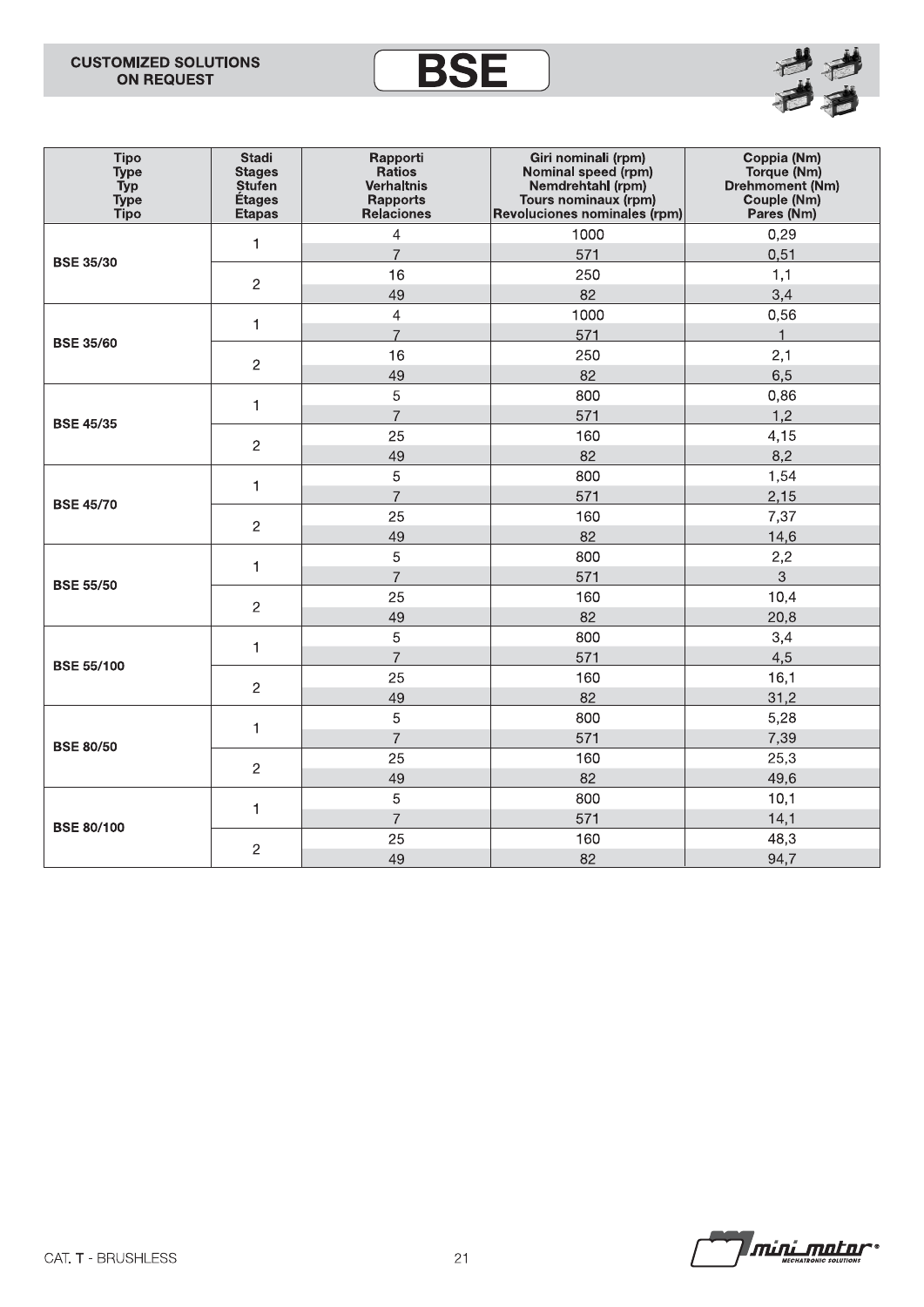# **CUSTOMIZED SOLUTIONS ON REQUEST**





| <b>Tipo</b><br><b>Type</b><br><b>Typ</b><br><b>Type</b><br><b>Tipo</b> | <b>Stadi</b><br><b>Stages</b><br><b>Stufen</b><br>Étages<br><b>Etapas</b> | Rapporti<br><b>Ratios</b><br><b>Verhaltnis</b><br><b>Rapports</b><br><b>Relaciones</b> | Giri nominali (rpm)<br>Nominal speed (rpm)<br>Nemdrehtahl (rpm)<br>Tours nominaux (rpm)<br>Revoluciones nominales (rpm) | Coppia (Nm)<br>Torque (Nm)<br>Drehmoment (Nm)<br>Couple (Nm)<br>Pares (Nm) |  |  |  |  |
|------------------------------------------------------------------------|---------------------------------------------------------------------------|----------------------------------------------------------------------------------------|-------------------------------------------------------------------------------------------------------------------------|----------------------------------------------------------------------------|--|--|--|--|
|                                                                        | $\mathbf{1}$                                                              | $\overline{4}$                                                                         | 1000                                                                                                                    | 0,29                                                                       |  |  |  |  |
| <b>BSE 35/30</b>                                                       |                                                                           | $\overline{7}$                                                                         | 571                                                                                                                     | 0,51                                                                       |  |  |  |  |
|                                                                        | $\overline{c}$                                                            | 16                                                                                     | 250                                                                                                                     | 1,1                                                                        |  |  |  |  |
|                                                                        |                                                                           | 49                                                                                     | 82                                                                                                                      | 3,4                                                                        |  |  |  |  |
| <b>BSE 35/60</b>                                                       | $\mathbf{1}$                                                              | $\overline{4}$                                                                         | 1000                                                                                                                    | 0,56                                                                       |  |  |  |  |
|                                                                        |                                                                           | $\overline{7}$                                                                         | 571                                                                                                                     | $\mathbf{1}$                                                               |  |  |  |  |
|                                                                        | $\mathbf{2}$                                                              | 16                                                                                     | 250                                                                                                                     | 2,1                                                                        |  |  |  |  |
|                                                                        |                                                                           | 49                                                                                     | 82                                                                                                                      | 6,5                                                                        |  |  |  |  |
| <b>BSE 45/35</b>                                                       | $\mathbf{1}$                                                              | 5                                                                                      | 800                                                                                                                     | 0,86                                                                       |  |  |  |  |
|                                                                        |                                                                           | $\overline{7}$                                                                         | 571                                                                                                                     | 1,2                                                                        |  |  |  |  |
|                                                                        | $\overline{c}$                                                            | 25                                                                                     | 160                                                                                                                     | 4,15                                                                       |  |  |  |  |
|                                                                        |                                                                           | 49                                                                                     | 82                                                                                                                      | 8,2                                                                        |  |  |  |  |
| <b>BSE 45/70</b>                                                       | $\mathbf{1}$                                                              | 5                                                                                      | 800                                                                                                                     | 1,54                                                                       |  |  |  |  |
|                                                                        |                                                                           | $\overline{7}$                                                                         | 571                                                                                                                     | 2,15                                                                       |  |  |  |  |
|                                                                        | $\overline{c}$                                                            | 25                                                                                     | 160                                                                                                                     | 7,37                                                                       |  |  |  |  |
|                                                                        |                                                                           | 49                                                                                     | 82                                                                                                                      | 14,6                                                                       |  |  |  |  |
| <b>BSE 55/50</b>                                                       | 1                                                                         | 5                                                                                      | 800                                                                                                                     | 2,2                                                                        |  |  |  |  |
|                                                                        |                                                                           | $\overline{7}$                                                                         | 571                                                                                                                     | 3                                                                          |  |  |  |  |
|                                                                        | $\overline{2}$                                                            | 25                                                                                     | 160                                                                                                                     | 10,4                                                                       |  |  |  |  |
|                                                                        |                                                                           | 49                                                                                     | 82                                                                                                                      | 20,8                                                                       |  |  |  |  |
|                                                                        | $\mathbf{1}$                                                              | 5                                                                                      | 800                                                                                                                     | 3,4                                                                        |  |  |  |  |
| <b>BSE 55/100</b>                                                      |                                                                           | $\overline{7}$                                                                         | 571                                                                                                                     | 4,5                                                                        |  |  |  |  |
|                                                                        | $\overline{c}$                                                            | 25                                                                                     | 160                                                                                                                     | 16,1                                                                       |  |  |  |  |
|                                                                        |                                                                           | 49                                                                                     | 82                                                                                                                      | 31,2                                                                       |  |  |  |  |
| <b>BSE 80/50</b>                                                       | 1                                                                         | 5                                                                                      | 800                                                                                                                     | 5,28                                                                       |  |  |  |  |
|                                                                        |                                                                           | $\overline{7}$                                                                         | 571                                                                                                                     | 7,39                                                                       |  |  |  |  |
|                                                                        | $\overline{c}$                                                            | 25                                                                                     | 160                                                                                                                     | 25,3                                                                       |  |  |  |  |
|                                                                        |                                                                           | 49                                                                                     | 82                                                                                                                      | 49,6                                                                       |  |  |  |  |
| <b>BSE 80/100</b>                                                      |                                                                           | 5                                                                                      | 800                                                                                                                     | 10,1                                                                       |  |  |  |  |
|                                                                        | $\mathbf{1}$                                                              | $\overline{7}$                                                                         | 571                                                                                                                     | 14,1                                                                       |  |  |  |  |
|                                                                        |                                                                           | 25                                                                                     | 160                                                                                                                     | 48,3                                                                       |  |  |  |  |
|                                                                        | $\overline{c}$                                                            | 49                                                                                     | 82                                                                                                                      | 94,7                                                                       |  |  |  |  |